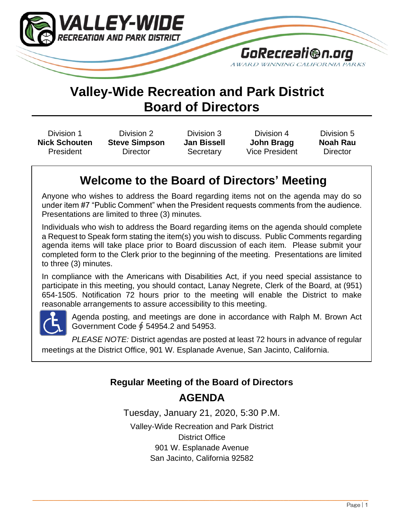

# **Valley-Wide Recreation and Park District Board of Directors**

Division 1 **Nick Schouten** President

Division 2 **Steve Simpson Director** 

Division 3 **Jan Bissell Secretary** 

Division 4 **John Bragg** Vice President

Division 5 **Noah Rau Director** 

# **Welcome to the Board of Directors' Meeting**

Anyone who wishes to address the Board regarding items not on the agenda may do so under item #7 "Public Comment" when the President requests comments from the audience. Presentations are limited to three (3) minutes.

Individuals who wish to address the Board regarding items on the agenda should complete a Request to Speak form stating the item(s) you wish to discuss. Public Comments regarding agenda items will take place prior to Board discussion of each item. Please submit your completed form to the Clerk prior to the beginning of the meeting. Presentations are limited to three (3) minutes.

In compliance with the Americans with Disabilities Act, if you need special assistance to participate in this meeting, you should contact, Lanay Negrete, Clerk of the Board, at (951) 654-1505. Notification 72 hours prior to the meeting will enable the District to make reasonable arrangements to assure accessibility to this meeting.



Agenda posting, and meetings are done in accordance with Ralph M. Brown Act Government Code ∮ 54954.2 and 54953.

*PLEASE NOTE:* District agendas are posted at least 72 hours in advance of regular meetings at the District Office, 901 W. Esplanade Avenue, San Jacinto, California.

# **Regular Meeting of the Board of Directors AGENDA**

Tuesday, January 21, 2020, 5:30 P.M.

Valley-Wide Recreation and Park District District Office 901 W. Esplanade Avenue San Jacinto, California 92582

 $\_$  , and the state of the state of the state of the state of the state of the state of the state of the state of the state of the state of the state of the state of the state of the state of the state of the state of the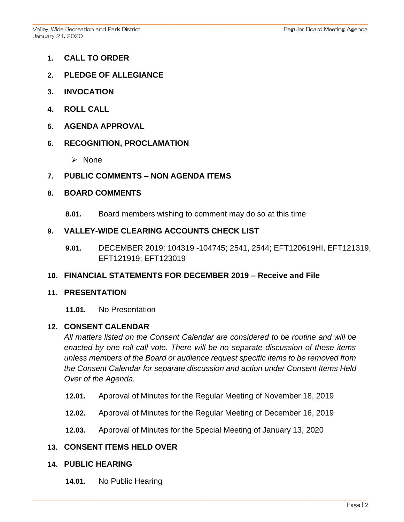- **1. CALL TO ORDER**
- **2. PLEDGE OF ALLEGIANCE**
- **3. INVOCATION**
- **4. ROLL CALL**
- **5. AGENDA APPROVAL**

#### **6. RECOGNITION, PROCLAMATION**

- ➢ None
- **7. PUBLIC COMMENTS – NON AGENDA ITEMS**

#### **8. BOARD COMMENTS**

**8.01.** Board members wishing to comment may do so at this time

### **9. VALLEY-WIDE CLEARING ACCOUNTS CHECK LIST**

**9.01.** DECEMBER 2019: 104319 -104745; 2541, 2544; EFT120619HI, EFT121319, EFT121919; EFT123019

#### **10. FINANCIAL STATEMENTS FOR DECEMBER 2019 – Receive and File**

#### **11. PRESENTATION**

**11.01.** No Presentation

#### **12. CONSENT CALENDAR**

*All matters listed on the Consent Calendar are considered to be routine and will be enacted by one roll call vote. There will be no separate discussion of these items unless members of the Board or audience request specific items to be removed from the Consent Calendar for separate discussion and action under Consent Items Held Over of the Agenda.* 

- **12.01.** Approval of Minutes for the Regular Meeting of November 18, 2019
- **12.02.** Approval of Minutes for the Regular Meeting of December 16, 2019
- **12.03.** Approval of Minutes for the Special Meeting of January 13, 2020

## **13. CONSENT ITEMS HELD OVER**

- **14. PUBLIC HEARING**
	- **14.01.** No Public Hearing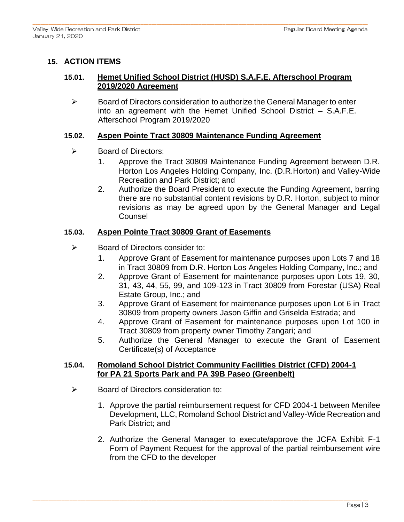## **15. ACTION ITEMS**

## **15.01. Hemet Unified School District (HUSD) S.A.F.E. Afterschool Program 2019/2020 Agreement**

➢ Board of Directors consideration to authorize the General Manager to enter into an agreement with the Hemet Unified School District – S.A.F.E. Afterschool Program 2019/2020

### **15.02. Aspen Pointe Tract 30809 Maintenance Funding Agreement**

- ➢ Board of Directors:
	- 1. Approve the Tract 30809 Maintenance Funding Agreement between D.R. Horton Los Angeles Holding Company, Inc. (D.R.Horton) and Valley-Wide Recreation and Park District; and
	- 2. Authorize the Board President to execute the Funding Agreement, barring there are no substantial content revisions by D.R. Horton, subject to minor revisions as may be agreed upon by the General Manager and Legal Counsel

#### **15.03. Aspen Pointe Tract 30809 Grant of Easements**

- $\triangleright$  Board of Directors consider to:
	- 1. Approve Grant of Easement for maintenance purposes upon Lots 7 and 18 in Tract 30809 from D.R. Horton Los Angeles Holding Company, Inc.; and
	- 2. Approve Grant of Easement for maintenance purposes upon Lots 19, 30, 31, 43, 44, 55, 99, and 109-123 in Tract 30809 from Forestar (USA) Real Estate Group, Inc.; and
	- 3. Approve Grant of Easement for maintenance purposes upon Lot 6 in Tract 30809 from property owners Jason Giffin and Griselda Estrada; and
	- 4. Approve Grant of Easement for maintenance purposes upon Lot 100 in Tract 30809 from property owner Timothy Zangari; and
	- 5. Authorize the General Manager to execute the Grant of Easement Certificate(s) of Acceptance

### **15.04. Romoland School District Community Facilities District (CFD) 2004-1 for PA 21 Sports Park and PA 39B Paseo (Greenbelt)**

- ➢ Board of Directors consideration to:
	- 1. Approve the partial reimbursement request for CFD 2004-1 between Menifee Development, LLC, Romoland School District and Valley-Wide Recreation and Park District; and
	- 2. Authorize the General Manager to execute/approve the JCFA Exhibit F-1 Form of Payment Request for the approval of the partial reimbursement wire from the CFD to the developer